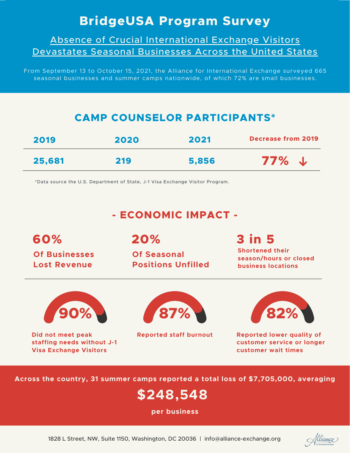# **BridgeUSA Program Survey**

Absence of Crucial International Exchange Visitors Devastates Seasonal Businesses Across the United States

From September 13 to October 15, 2021, the Alliance for International Exchange surveyed 665 seasonal businesses and summer camps nationwide, of which 72% are small businesses.

## **CAMP COUNSELOR PARTICIPANTS\***

| 2019   | 2020 | 2021  | <b>Decrease from 2019</b> |
|--------|------|-------|---------------------------|
| 25,681 | 219  | 5,856 | 77%<br><b>J</b>           |

\*Data source the U.S. Department of State, J-1 Visa Exchange Visitor Program.

## **- ECONOMIC IMPACT -**

**60% Of Businesses Lost Revenue**

**20%**

**Of Seasonal Positions Unfilled**

# **3 in 5**

**Shortened their season/hours or closed business locations**



**Did not meet peak staffing needs without J-1 Visa Exchange Visitors**





**Reported staff burnout Reported lower quality of customer service or longer customer wait times**

**Across the country, 31 summer camps reported a total loss of \$7,705,000, averaging**

# **\$248,548**

**per business**

flliance